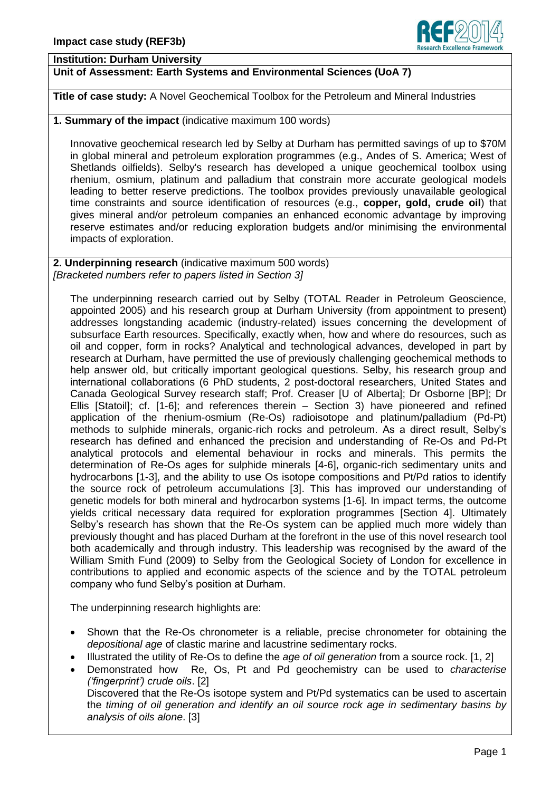

### **Institution: Durham University**

# **Unit of Assessment: Earth Systems and Environmental Sciences (UoA 7)**

**Title of case study:** A Novel Geochemical Toolbox for the Petroleum and Mineral Industries

# **1. Summary of the impact** (indicative maximum 100 words)

Innovative geochemical research led by Selby at Durham has permitted savings of up to \$70M in global mineral and petroleum exploration programmes (e.g., Andes of S. America; West of Shetlands oilfields). Selby's research has developed a unique geochemical toolbox using rhenium, osmium, platinum and palladium that constrain more accurate geological models leading to better reserve predictions. The toolbox provides previously unavailable geological time constraints and source identification of resources (e.g., **copper, gold, crude oil**) that gives mineral and/or petroleum companies an enhanced economic advantage by improving reserve estimates and/or reducing exploration budgets and/or minimising the environmental impacts of exploration.

### **2. Underpinning research** (indicative maximum 500 words) *[Bracketed numbers refer to papers listed in Section 3]*

The underpinning research carried out by Selby (TOTAL Reader in Petroleum Geoscience, appointed 2005) and his research group at Durham University (from appointment to present) addresses longstanding academic (industry-related) issues concerning the development of subsurface Earth resources. Specifically, exactly when, how and where do resources, such as oil and copper, form in rocks? Analytical and technological advances, developed in part by research at Durham, have permitted the use of previously challenging geochemical methods to help answer old, but critically important geological questions. Selby, his research group and international collaborations (6 PhD students, 2 post-doctoral researchers, United States and Canada Geological Survey research staff; Prof. Creaser [U of Alberta]; Dr Osborne [BP]; Dr Ellis [Statoil]; cf. [1-6]; and references therein – Section 3) have pioneered and refined application of the rhenium-osmium (Re-Os) radioisotope and platinum/palladium (Pd-Pt) methods to sulphide minerals, organic-rich rocks and petroleum. As a direct result, Selby's research has defined and enhanced the precision and understanding of Re-Os and Pd-Pt analytical protocols and elemental behaviour in rocks and minerals. This permits the determination of Re-Os ages for sulphide minerals [4-6], organic-rich sedimentary units and hydrocarbons [1-3], and the ability to use Os isotope compositions and Pt/Pd ratios to identify the source rock of petroleum accumulations [3]. This has improved our understanding of genetic models for both mineral and hydrocarbon systems [1-6]. In impact terms, the outcome yields critical necessary data required for exploration programmes [Section 4]. Ultimately Selby's research has shown that the Re-Os system can be applied much more widely than previously thought and has placed Durham at the forefront in the use of this novel research tool both academically and through industry. This leadership was recognised by the award of the William Smith Fund (2009) to Selby from the Geological Society of London for excellence in contributions to applied and economic aspects of the science and by the TOTAL petroleum company who fund Selby's position at Durham.

The underpinning research highlights are:

- Shown that the Re-Os chronometer is a reliable, precise chronometer for obtaining the *depositional age* of clastic marine and lacustrine sedimentary rocks.
- Illustrated the utility of Re-Os to define the *age of oil generation* from a source rock. [1, 2]
- Demonstrated how Re, Os, Pt and Pd geochemistry can be used to *characterise ('fingerprint') crude oils*. [2] Discovered that the Re-Os isotope system and Pt/Pd systematics can be used to ascertain

the *timing of oil generation and identify an oil source rock age in sedimentary basins by analysis of oils alone*. [3]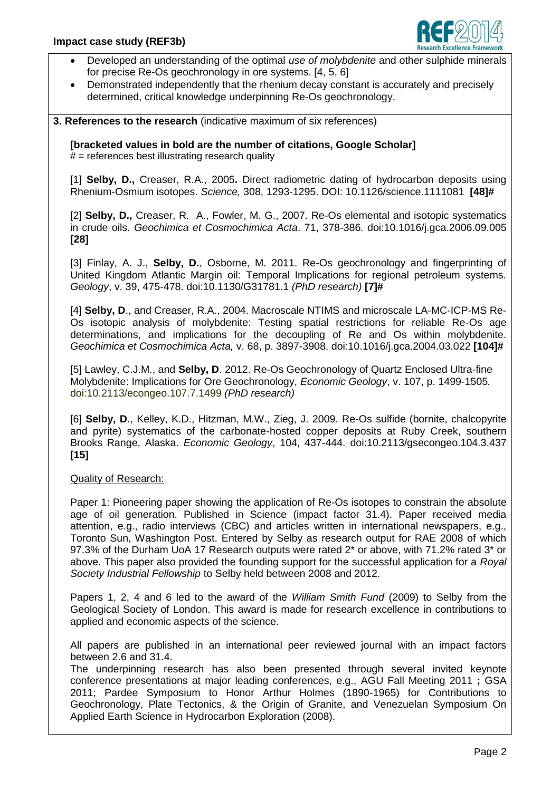

- Developed an understanding of the optimal *use of molybdenite* and other sulphide minerals for precise Re-Os geochronology in ore systems. [4, 5, 6]
- Demonstrated independently that the rhenium decay constant is accurately and precisely determined, critical knowledge underpinning Re-Os geochronology.

**3. References to the research** (indicative maximum of six references)

**[bracketed values in bold are the number of citations, Google Scholar]**  $#$  = references best illustrating research quality

[1] **Selby, D.,** Creaser, R.A., 2005**.** Direct radiometric dating of hydrocarbon deposits using Rhenium-Osmium isotopes. *Science,* 308, 1293-1295. DOI: 10.1126/science.1111081 **[48]#**

[2] **Selby, D.,** Creaser, R. A., Fowler, M. G., 2007. Re-Os elemental and isotopic systematics in crude oils. *Geochimica et Cosmochimica Acta*. 71, 378-386. doi:10.1016/j.gca.2006.09.005 **[28]**

[3] Finlay, A. J., **Selby, D.**, Osborne, M. 2011. Re-Os geochronology and fingerprinting of United Kingdom Atlantic Margin oil: Temporal Implications for regional petroleum systems. *Geology*, v. 39, 475-478. doi:10.1130/G31781.1 *(PhD research)* **[7]#**

[4] **Selby, D**., and Creaser, R.A., 2004. Macroscale NTIMS and microscale LA-MC-ICP-MS Re-Os isotopic analysis of molybdenite: Testing spatial restrictions for reliable Re-Os age determinations, and implications for the decoupling of Re and Os within molybdenite. *Geochimica et Cosmochimica Acta,* v. 68, p. 3897-3908. doi:10.1016/j.gca.2004.03.022 **[104]#**

[5] Lawley, C.J.M., and **Selby, D**. 2012. Re-Os Geochronology of Quartz Enclosed Ultra-fine Molybdenite: Implications for Ore Geochronology, *Economic Geology*, v. 107, p. 1499-1505*.*  doi:10.2113/econgeo.107.7.1499 *(PhD research)*

[6] **Selby, D**., Kelley, K.D., Hitzman, M.W., Zieg, J. 2009. Re-Os sulfide (bornite, chalcopyrite and pyrite) systematics of the carbonate-hosted copper deposits at Ruby Creek, southern Brooks Range, Alaska. *Economic Geology*, 104, 437-444. doi:10.2113/gsecongeo.104.3.437 **[15]**

# Quality of Research:

Paper 1: Pioneering paper showing the application of Re-Os isotopes to constrain the absolute age of oil generation. Published in Science (impact factor 31.4). Paper received media attention, e.g., radio interviews (CBC) and articles written in international newspapers, e.g., Toronto Sun, Washington Post. Entered by Selby as research output for RAE 2008 of which 97.3% of the Durham UoA 17 Research outputs were rated 2\* or above, with 71.2% rated 3\* or above. This paper also provided the founding support for the successful application for a *Royal Society Industrial Fellowship* to Selby held between 2008 and 2012.

Papers 1, 2, 4 and 6 led to the award of the *William Smith Fund* (2009) to Selby from the Geological Society of London. This award is made for research excellence in contributions to applied and economic aspects of the science.

All papers are published in an international peer reviewed journal with an impact factors between 2.6 and 31.4.

The underpinning research has also been presented through several invited keynote conference presentations at major leading conferences, e.g., AGU Fall Meeting 2011 **;** GSA 2011; Pardee Symposium to Honor Arthur Holmes (1890-1965) for Contributions to Geochronology, Plate Tectonics, & the Origin of Granite, and Venezuelan Symposium On Applied Earth Science in Hydrocarbon Exploration (2008).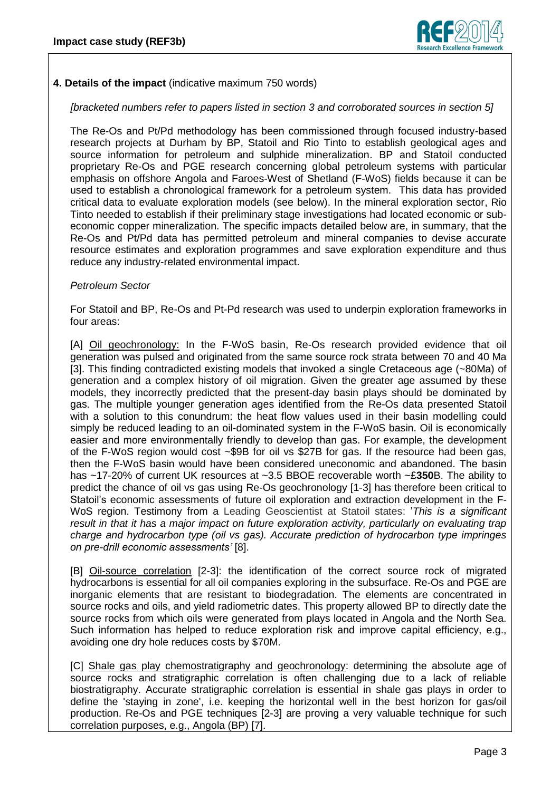

# **4. Details of the impact** (indicative maximum 750 words)

### *[bracketed numbers refer to papers listed in section 3 and corroborated sources in section 5]*

The Re-Os and Pt/Pd methodology has been commissioned through focused industry-based research projects at Durham by BP, Statoil and Rio Tinto to establish geological ages and source information for petroleum and sulphide mineralization. BP and Statoil conducted proprietary Re-Os and PGE research concerning global petroleum systems with particular emphasis on offshore Angola and Faroes-West of Shetland (F-WoS) fields because it can be used to establish a chronological framework for a petroleum system. This data has provided critical data to evaluate exploration models (see below). In the mineral exploration sector, Rio Tinto needed to establish if their preliminary stage investigations had located economic or subeconomic copper mineralization. The specific impacts detailed below are, in summary, that the Re-Os and Pt/Pd data has permitted petroleum and mineral companies to devise accurate resource estimates and exploration programmes and save exploration expenditure and thus reduce any industry-related environmental impact.

#### *Petroleum Sector*

For Statoil and BP, Re-Os and Pt-Pd research was used to underpin exploration frameworks in four areas:

[A] Oil geochronology: In the F-WoS basin, Re-Os research provided evidence that oil generation was pulsed and originated from the same source rock strata between 70 and 40 Ma [3]. This finding contradicted existing models that invoked a single Cretaceous age (~80Ma) of generation and a complex history of oil migration. Given the greater age assumed by these models, they incorrectly predicted that the present-day basin plays should be dominated by gas. The multiple younger generation ages identified from the Re-Os data presented Statoil with a solution to this conundrum: the heat flow values used in their basin modelling could simply be reduced leading to an oil-dominated system in the F-WoS basin. Oil is economically easier and more environmentally friendly to develop than gas. For example, the development of the F-WoS region would cost ~\$9B for oil vs \$27B for gas. If the resource had been gas, then the F-WoS basin would have been considered uneconomic and abandoned. The basin has ~17-20% of current UK resources at ~3.5 BBOE recoverable worth ~£**350**B. The ability to predict the chance of oil vs gas using Re-Os geochronology [1-3] has therefore been critical to Statoil's economic assessments of future oil exploration and extraction development in the F-WoS region. Testimony from a Leading Geoscientist at Statoil states: '*This is a significant result in that it has a major impact on future exploration activity, particularly on evaluating trap charge and hydrocarbon type (oil vs gas). Accurate prediction of hydrocarbon type impringes on pre-drill economic assessments'* [8].

[B] Oil-source correlation [2-3]: the identification of the correct source rock of migrated hydrocarbons is essential for all oil companies exploring in the subsurface. Re-Os and PGE are inorganic elements that are resistant to biodegradation. The elements are concentrated in source rocks and oils, and yield radiometric dates. This property allowed BP to directly date the source rocks from which oils were generated from plays located in Angola and the North Sea. Such information has helped to reduce exploration risk and improve capital efficiency, e.g., avoiding one dry hole reduces costs by \$70M.

[C] Shale gas play chemostratigraphy and geochronology: determining the absolute age of source rocks and stratigraphic correlation is often challenging due to a lack of reliable biostratigraphy. Accurate stratigraphic correlation is essential in shale gas plays in order to define the 'staying in zone', i.e. keeping the horizontal well in the best horizon for gas/oil production. Re-Os and PGE techniques [2-3] are proving a very valuable technique for such correlation purposes, e.g., Angola (BP) [7].